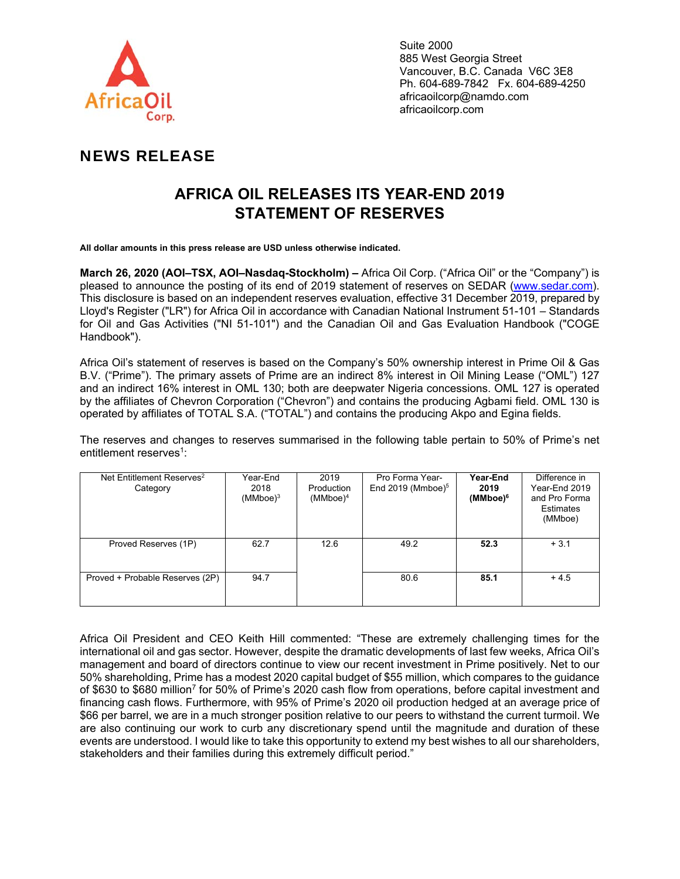

Suite 2000 885 West Georgia Street Vancouver, B.C. Canada V6C 3E8 Ph. 604-689-7842 Fx. 604-689-4250 africaoilcorp@namdo.com africaoilcorp.com

## NEWS RELEASE

# **AFRICA OIL RELEASES ITS YEAR-END 2019 STATEMENT OF RESERVES**

**All dollar amounts in this press release are USD unless otherwise indicated.** 

**March 26, 2020 (AOI–TSX, AOI–Nasdaq-Stockholm) –** Africa Oil Corp. ("Africa Oil" or the "Company") is pleased to announce the posting of its end of 2019 statement of reserves on SEDAR (www.sedar.com). This disclosure is based on an independent reserves evaluation, effective 31 December 2019, prepared by Lloyd's Register ("LR") for Africa Oil in accordance with Canadian National Instrument 51-101 – Standards for Oil and Gas Activities ("NI 51-101") and the Canadian Oil and Gas Evaluation Handbook ("COGE Handbook").

Africa Oil's statement of reserves is based on the Company's 50% ownership interest in Prime Oil & Gas B.V. ("Prime"). The primary assets of Prime are an indirect 8% interest in Oil Mining Lease ("OML") 127 and an indirect 16% interest in OML 130; both are deepwater Nigeria concessions. OML 127 is operated by the affiliates of Chevron Corporation ("Chevron") and contains the producing Agbami field. OML 130 is operated by affiliates of TOTAL S.A. ("TOTAL") and contains the producing Akpo and Egina fields.

The reserves and changes to reserves summarised in the following table pertain to 50% of Prime's net entitlement reserves<sup>1</sup>:

| Net Entitlement Reserves <sup>2</sup><br>Category | Year-End<br>2018<br>$(MMboe)^3$ | 2019<br>Production<br>$(MMboe)^4$ | Pro Forma Year-<br>End 2019 (Mmboe) $5$ | Year-End<br>2019<br>$(MMboe)^6$ | Difference in<br>Year-End 2019<br>and Pro Forma<br>Estimates<br>(MMboe) |
|---------------------------------------------------|---------------------------------|-----------------------------------|-----------------------------------------|---------------------------------|-------------------------------------------------------------------------|
| Proved Reserves (1P)                              | 62.7                            | 12.6                              | 49.2                                    | 52.3                            | $+3.1$                                                                  |
| Proved + Probable Reserves (2P)                   | 94.7                            |                                   | 80.6                                    | 85.1                            | $+4.5$                                                                  |

Africa Oil President and CEO Keith Hill commented: "These are extremely challenging times for the international oil and gas sector. However, despite the dramatic developments of last few weeks, Africa Oil's management and board of directors continue to view our recent investment in Prime positively. Net to our 50% shareholding, Prime has a modest 2020 capital budget of \$55 million, which compares to the guidance of \$630 to \$680 million7 for 50% of Prime's 2020 cash flow from operations, before capital investment and financing cash flows. Furthermore, with 95% of Prime's 2020 oil production hedged at an average price of \$66 per barrel, we are in a much stronger position relative to our peers to withstand the current turmoil. We are also continuing our work to curb any discretionary spend until the magnitude and duration of these events are understood. I would like to take this opportunity to extend my best wishes to all our shareholders, stakeholders and their families during this extremely difficult period."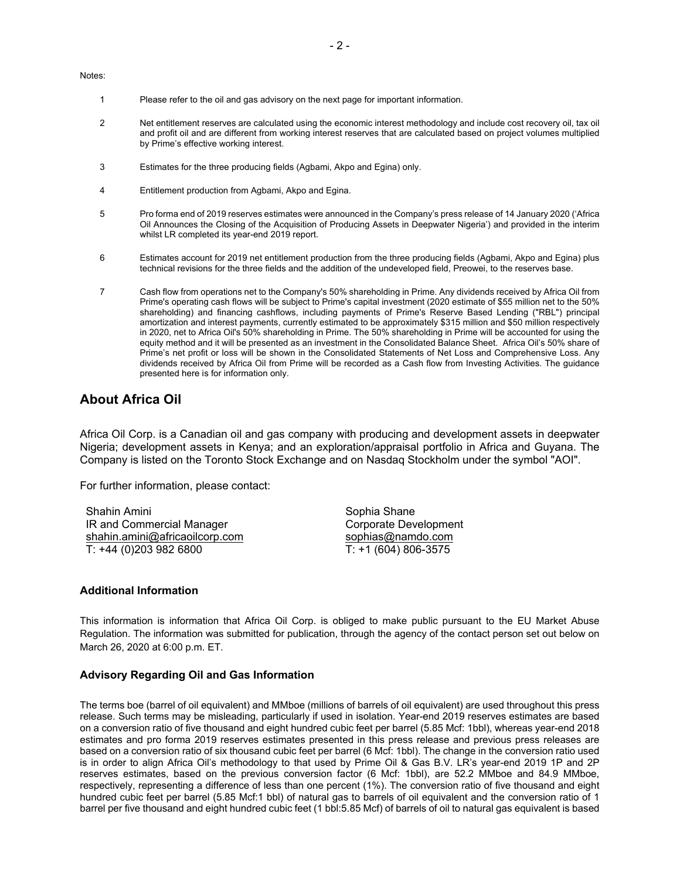Notes:

- 1 Please refer to the oil and gas advisory on the next page for important information.
- 2 Net entitlement reserves are calculated using the economic interest methodology and include cost recovery oil, tax oil and profit oil and are different from working interest reserves that are calculated based on project volumes multiplied by Prime's effective working interest.
- 3 Estimates for the three producing fields (Agbami, Akpo and Egina) only.
- 4 Entitlement production from Agbami, Akpo and Egina.
- 5 Pro forma end of 2019 reserves estimates were announced in the Company's press release of 14 January 2020 ('Africa Oil Announces the Closing of the Acquisition of Producing Assets in Deepwater Nigeria') and provided in the interim whilst LR completed its year-end 2019 report.
- 6 Estimates account for 2019 net entitlement production from the three producing fields (Agbami, Akpo and Egina) plus technical revisions for the three fields and the addition of the undeveloped field, Preowei, to the reserves base.
- 7 Cash flow from operations net to the Company's 50% shareholding in Prime. Any dividends received by Africa Oil from Prime's operating cash flows will be subject to Prime's capital investment (2020 estimate of \$55 million net to the 50% shareholding) and financing cashflows, including payments of Prime's Reserve Based Lending ("RBL") principal amortization and interest payments, currently estimated to be approximately \$315 million and \$50 million respectively in 2020, net to Africa Oil's 50% shareholding in Prime. The 50% shareholding in Prime will be accounted for using the equity method and it will be presented as an investment in the Consolidated Balance Sheet. Africa Oil's 50% share of Prime's net profit or loss will be shown in the Consolidated Statements of Net Loss and Comprehensive Loss. Any dividends received by Africa Oil from Prime will be recorded as a Cash flow from Investing Activities. The guidance presented here is for information only.

### **About Africa Oil**

Africa Oil Corp. is a Canadian oil and gas company with producing and development assets in deepwater Nigeria; development assets in Kenya; and an exploration/appraisal portfolio in Africa and Guyana. The Company is listed on the Toronto Stock Exchange and on Nasdaq Stockholm under the symbol "AOI".

For further information, please contact:

Shahin Amini IR and Commercial Manager shahin.amini@africaoilcorp.com T: +44 (0)203 982 6800

Sophia Shane Corporate Development sophias@namdo.com T: +1 (604) 806-3575

#### **Additional Information**

This information is information that Africa Oil Corp. is obliged to make public pursuant to the EU Market Abuse Regulation. The information was submitted for publication, through the agency of the contact person set out below on March 26, 2020 at 6:00 p.m. ET.

#### **Advisory Regarding Oil and Gas Information**

The terms boe (barrel of oil equivalent) and MMboe (millions of barrels of oil equivalent) are used throughout this press release. Such terms may be misleading, particularly if used in isolation. Year-end 2019 reserves estimates are based on a conversion ratio of five thousand and eight hundred cubic feet per barrel (5.85 Mcf: 1bbl), whereas year-end 2018 estimates and pro forma 2019 reserves estimates presented in this press release and previous press releases are based on a conversion ratio of six thousand cubic feet per barrel (6 Mcf: 1bbl). The change in the conversion ratio used is in order to align Africa Oil's methodology to that used by Prime Oil & Gas B.V. LR's year-end 2019 1P and 2P reserves estimates, based on the previous conversion factor (6 Mcf: 1bbl), are 52.2 MMboe and 84.9 MMboe, respectively, representing a difference of less than one percent (1%). The conversion ratio of five thousand and eight hundred cubic feet per barrel (5.85 Mcf:1 bbl) of natural gas to barrels of oil equivalent and the conversion ratio of 1 barrel per five thousand and eight hundred cubic feet (1 bbl:5.85 Mcf) of barrels of oil to natural gas equivalent is based